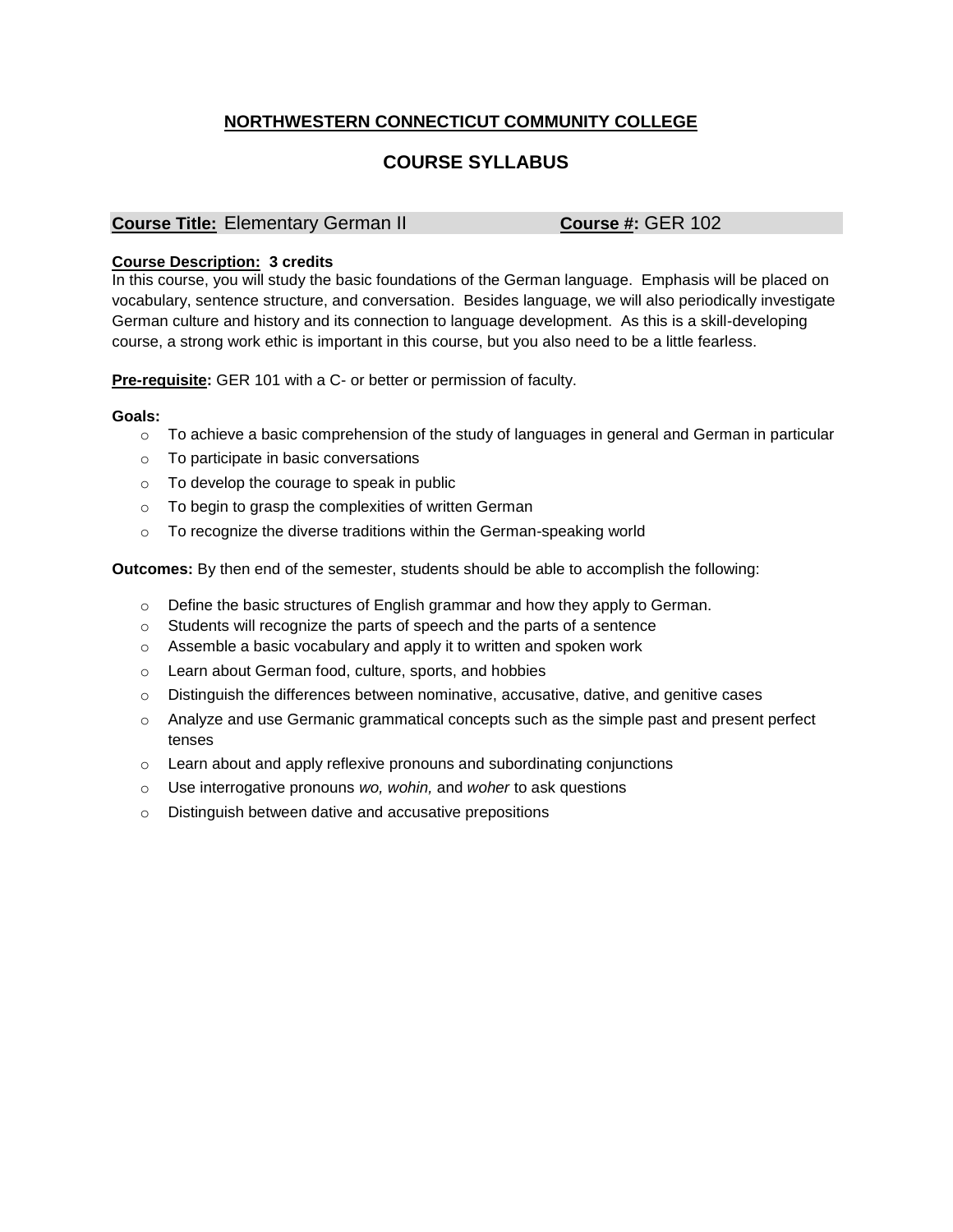## **NORTHWESTERN CONNECTICUT COMMUNITY COLLEGE**

# **COURSE SYLLABUS**

### **Course Title:** Elementary German II **Course #:** GER 102

#### **Course Description: 3 credits**

In this course, you will study the basic foundations of the German language. Emphasis will be placed on vocabulary, sentence structure, and conversation. Besides language, we will also periodically investigate German culture and history and its connection to language development. As this is a skill-developing course, a strong work ethic is important in this course, but you also need to be a little fearless.

**Pre-requisite:** GER 101 with a C- or better or permission of faculty.

#### **Goals:**

- $\circ$  To achieve a basic comprehension of the study of languages in general and German in particular
- o To participate in basic conversations
- o To develop the courage to speak in public
- o To begin to grasp the complexities of written German
- o To recognize the diverse traditions within the German-speaking world

**Outcomes:** By then end of the semester, students should be able to accomplish the following:

- o Define the basic structures of English grammar and how they apply to German.
- o Students will recognize the parts of speech and the parts of a sentence
- o Assemble a basic vocabulary and apply it to written and spoken work
- o Learn about German food, culture, sports, and hobbies
- $\circ$  Distinguish the differences between nominative, accusative, dative, and genitive cases
- o Analyze and use Germanic grammatical concepts such as the simple past and present perfect tenses
- $\circ$  Learn about and apply reflexive pronouns and subordinating conjunctions
- o Use interrogative pronouns *wo, wohin,* and *woher* to ask questions
- o Distinguish between dative and accusative prepositions